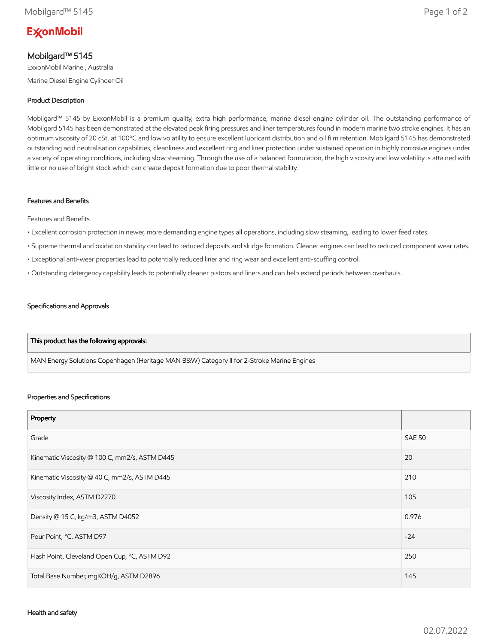# **ExconMobil**

## Mobilgard™ 5145

ExxonMobil Marine , Australia Marine Diesel Engine Cylinder Oil

## Product Description

Mobilgard™ 5145 by ExxonMobil is a premium quality, extra high performance, marine diesel engine cylinder oil. The outstanding performance of Mobilgard 5145 has been demonstrated at the elevated peak firing pressures and liner temperatures found in modern marine two stroke engines. It has an optimum viscosity of 20 cSt. at 100ºC and low volatility to ensure excellent lubricant distribution and oil film retention. Mobilgard 5145 has demonstrated outstanding acid neutralisation capabilities, cleanliness and excellent ring and liner protection under sustained operation in highly corrosive engines under a variety of operating conditions, including slow steaming. Through the use of a balanced formulation, the high viscosity and low volatility is attained with little or no use of bright stock which can create deposit formation due to poor thermal stability.

### Features and Benefits

Features and Benefits

- Excellent corrosion protection in newer, more demanding engine types all operations, including slow steaming, leading to lower feed rates.
- Supreme thermal and oxidation stability can lead to reduced deposits and sludge formation. Cleaner engines can lead to reduced component wear rates.
- Exceptional anti-wear properties lead to potentially reduced liner and ring wear and excellent anti-scuffing control.
- Outstanding detergency capability leads to potentially cleaner pistons and liners and can help extend periods between overhauls.

#### Specifications and Approvals

#### This product has the following approvals:

MAN Energy Solutions Copenhagen (Heritage MAN B&W) Category II for 2-Stroke Marine Engines

#### Properties and Specifications

| Property                                      |               |
|-----------------------------------------------|---------------|
| Grade                                         | <b>SAE 50</b> |
| Kinematic Viscosity @ 100 C, mm2/s, ASTM D445 | 20            |
| Kinematic Viscosity @ 40 C, mm2/s, ASTM D445  | 210           |
| Viscosity Index, ASTM D2270                   | 105           |
| Density @ 15 C, kg/m3, ASTM D4052             | 0.976         |
| Pour Point, °C, ASTM D97                      | $-24$         |
| Flash Point, Cleveland Open Cup, °C, ASTM D92 | 250           |
| Total Base Number, mgKOH/g, ASTM D2896        | 145           |